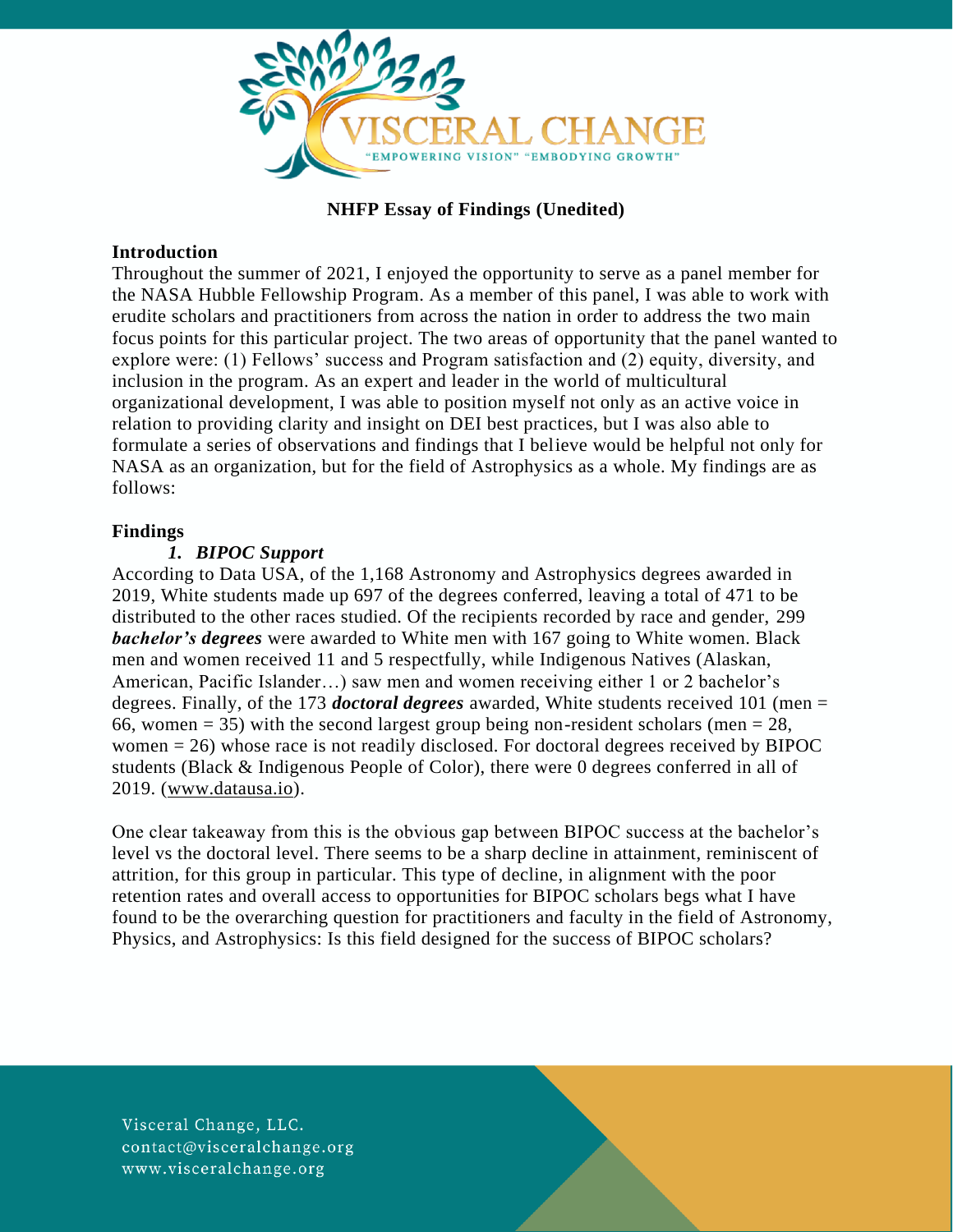

# **NHFP Essay of Findings (Unedited)**

#### **Introduction**

Throughout the summer of 2021, I enjoyed the opportunity to serve as a panel member for the NASA Hubble Fellowship Program. As a member of this panel, I was able to work with erudite scholars and practitioners from across the nation in order to address the two main focus points for this particular project. The two areas of opportunity that the panel wanted to explore were: (1) Fellows' success and Program satisfaction and (2) equity, diversity, and inclusion in the program. As an expert and leader in the world of multicultural organizational development, I was able to position myself not only as an active voice in relation to providing clarity and insight on DEI best practices, but I was also able to formulate a series of observations and findings that I believe would be helpful not only for NASA as an organization, but for the field of Astrophysics as a whole. My findings are as follows:

#### **Findings**

#### *1. BIPOC Support*

According to Data USA, of the 1,168 Astronomy and Astrophysics degrees awarded in 2019, White students made up 697 of the degrees conferred, leaving a total of 471 to be distributed to the other races studied. Of the recipients recorded by race and gender, 299 *bachelor's degrees* were awarded to White men with 167 going to White women. Black men and women received 11 and 5 respectfully, while Indigenous Natives (Alaskan, American, Pacific Islander…) saw men and women receiving either 1 or 2 bachelor's degrees. Finally, of the 173 *doctoral degrees* awarded, White students received 101 (men = 66, women = 35) with the second largest group being non-resident scholars (men =  $28$ , women = 26) whose race is not readily disclosed. For doctoral degrees received by BIPOC students (Black & Indigenous People of Color), there were 0 degrees conferred in all of 2019. [\(www.datausa.io\)](http://www.datausa.io/).

One clear takeaway from this is the obvious gap between BIPOC success at the bachelor's level vs the doctoral level. There seems to be a sharp decline in attainment, reminiscent of attrition, for this group in particular. This type of decline, in alignment with the poor retention rates and overall access to opportunities for BIPOC scholars begs what I have found to be the overarching question for practitioners and faculty in the field of Astronomy, Physics, and Astrophysics: Is this field designed for the success of BIPOC scholars?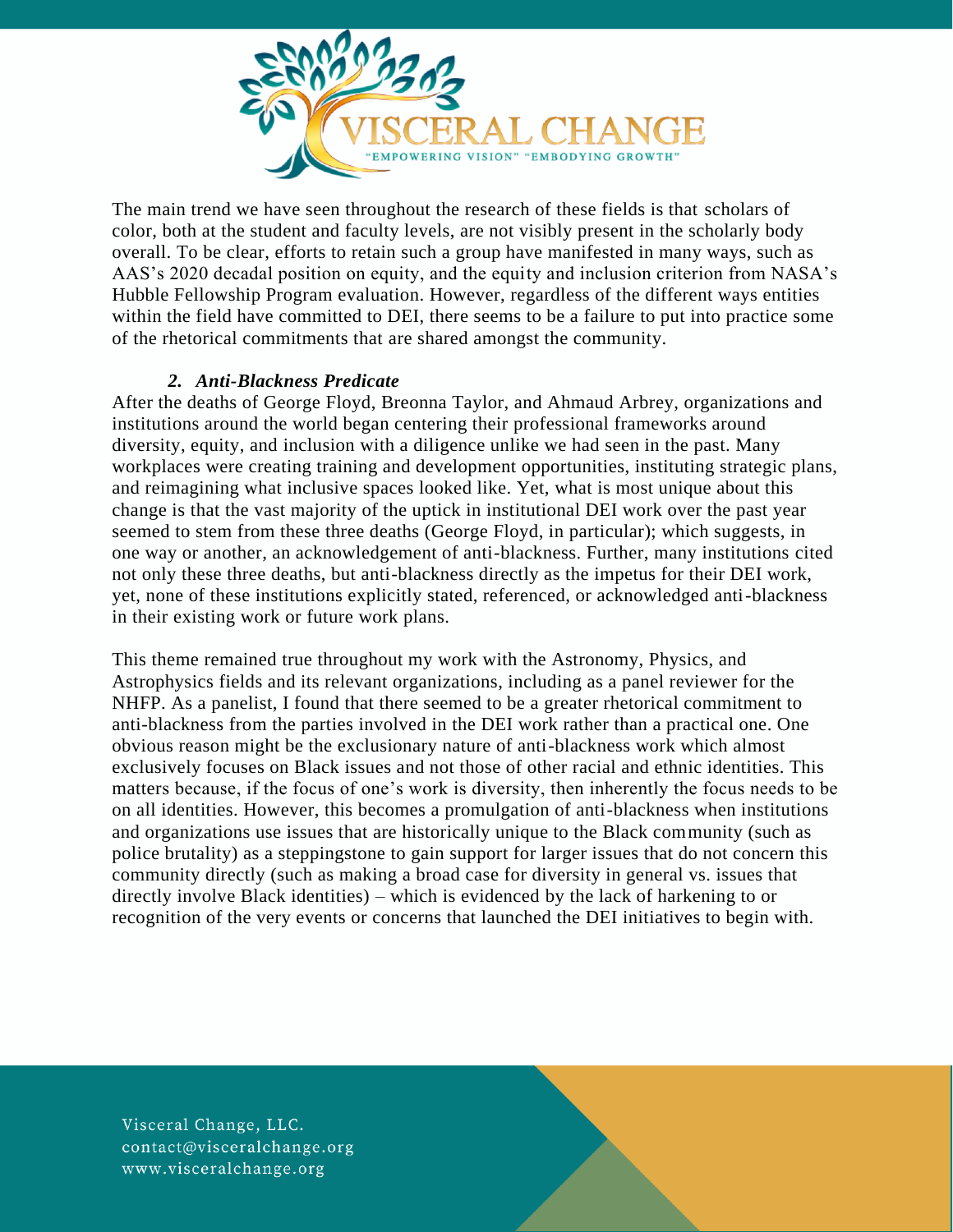

The main trend we have seen throughout the research of these fields is that scholars of color, both at the student and faculty levels, are not visibly present in the scholarly body overall. To be clear, efforts to retain such a group have manifested in many ways, such as AAS's 2020 decadal position on equity, and the equity and inclusion criterion from NASA's Hubble Fellowship Program evaluation. However, regardless of the different ways entities within the field have committed to DEI, there seems to be a failure to put into practice some of the rhetorical commitments that are shared amongst the community.

# *2. Anti-Blackness Predicate*

After the deaths of George Floyd, Breonna Taylor, and Ahmaud Arbrey, organizations and institutions around the world began centering their professional frameworks around diversity, equity, and inclusion with a diligence unlike we had seen in the past. Many workplaces were creating training and development opportunities, instituting strategic plans, and reimagining what inclusive spaces looked like. Yet, what is most unique about this change is that the vast majority of the uptick in institutional DEI work over the past year seemed to stem from these three deaths (George Floyd, in particular); which suggests, in one way or another, an acknowledgement of anti-blackness. Further, many institutions cited not only these three deaths, but anti-blackness directly as the impetus for their DEI work, yet, none of these institutions explicitly stated, referenced, or acknowledged anti-blackness in their existing work or future work plans.

This theme remained true throughout my work with the Astronomy, Physics, and Astrophysics fields and its relevant organizations, including as a panel reviewer for the NHFP. As a panelist, I found that there seemed to be a greater rhetorical commitment to anti-blackness from the parties involved in the DEI work rather than a practical one. One obvious reason might be the exclusionary nature of anti-blackness work which almost exclusively focuses on Black issues and not those of other racial and ethnic identities. This matters because, if the focus of one's work is diversity, then inherently the focus needs to be on all identities. However, this becomes a promulgation of anti-blackness when institutions and organizations use issues that are historically unique to the Black community (such as police brutality) as a steppingstone to gain support for larger issues that do not concern this community directly (such as making a broad case for diversity in general vs. issues that directly involve Black identities) – which is evidenced by the lack of harkening to or recognition of the very events or concerns that launched the DEI initiatives to begin with.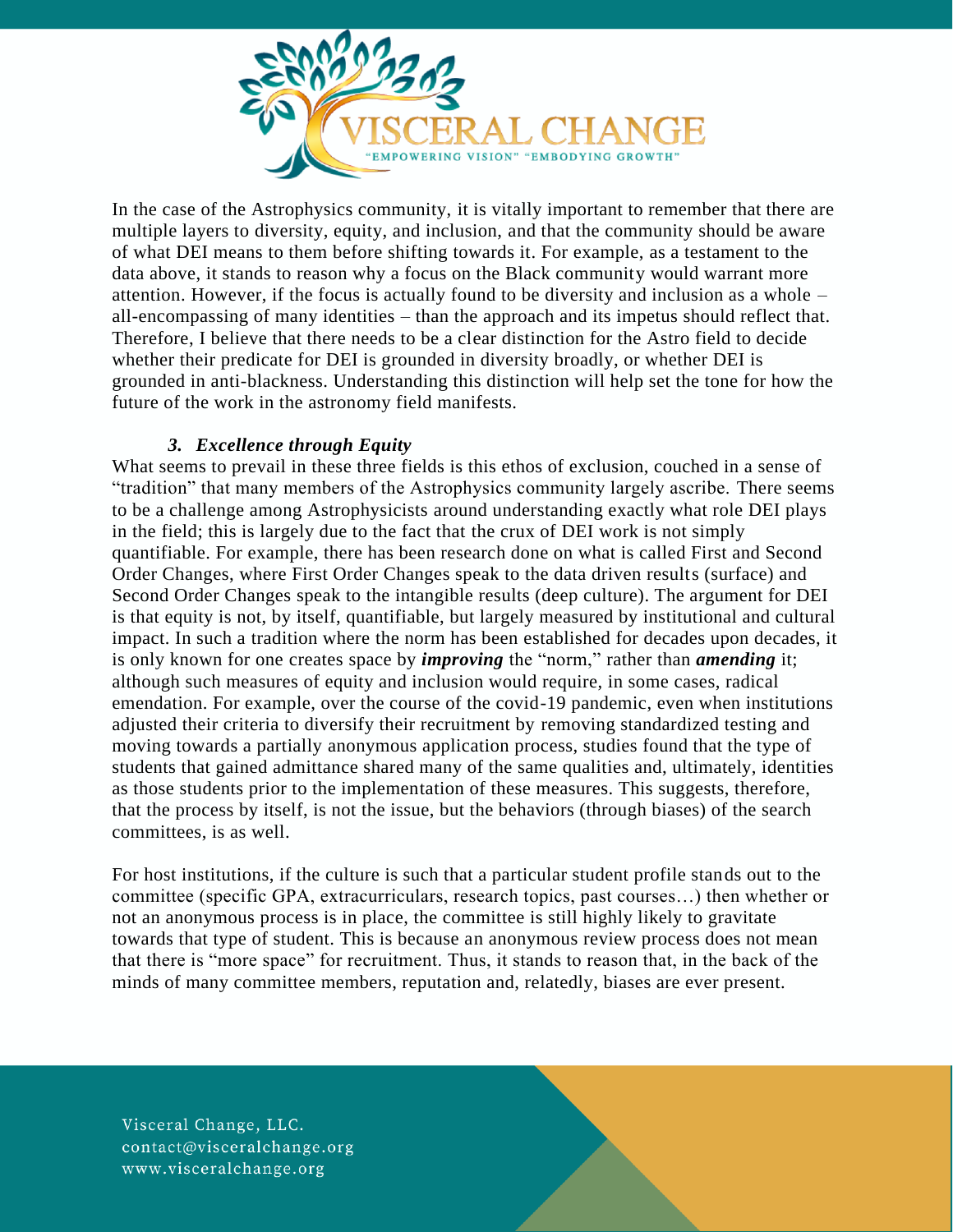

In the case of the Astrophysics community, it is vitally important to remember that there are multiple layers to diversity, equity, and inclusion, and that the community should be aware of what DEI means to them before shifting towards it. For example, as a testament to the data above, it stands to reason why a focus on the Black community would warrant more attention. However, if the focus is actually found to be diversity and inclusion as a whole – all-encompassing of many identities – than the approach and its impetus should reflect that. Therefore, I believe that there needs to be a clear distinction for the Astro field to decide whether their predicate for DEI is grounded in diversity broadly, or whether DEI is grounded in anti-blackness. Understanding this distinction will help set the tone for how the future of the work in the astronomy field manifests.

### *3. Excellence through Equity*

What seems to prevail in these three fields is this ethos of exclusion, couched in a sense of "tradition" that many members of the Astrophysics community largely ascribe. There seems to be a challenge among Astrophysicists around understanding exactly what role DEI plays in the field; this is largely due to the fact that the crux of DEI work is not simply quantifiable. For example, there has been research done on what is called First and Second Order Changes, where First Order Changes speak to the data driven results (surface) and Second Order Changes speak to the intangible results (deep culture). The argument for DEI is that equity is not, by itself, quantifiable, but largely measured by institutional and cultural impact. In such a tradition where the norm has been established for decades upon decades, it is only known for one creates space by *improving* the "norm," rather than *amending* it; although such measures of equity and inclusion would require, in some cases, radical emendation. For example, over the course of the covid-19 pandemic, even when institutions adjusted their criteria to diversify their recruitment by removing standardized testing and moving towards a partially anonymous application process, studies found that the type of students that gained admittance shared many of the same qualities and, ultimately, identities as those students prior to the implementation of these measures. This suggests, therefore, that the process by itself, is not the issue, but the behaviors (through biases) of the search committees, is as well.

For host institutions, if the culture is such that a particular student profile stands out to the committee (specific GPA, extracurriculars, research topics, past courses…) then whether or not an anonymous process is in place, the committee is still highly likely to gravitate towards that type of student. This is because an anonymous review process does not mean that there is "more space" for recruitment. Thus, it stands to reason that, in the back of the minds of many committee members, reputation and, relatedly, biases are ever present.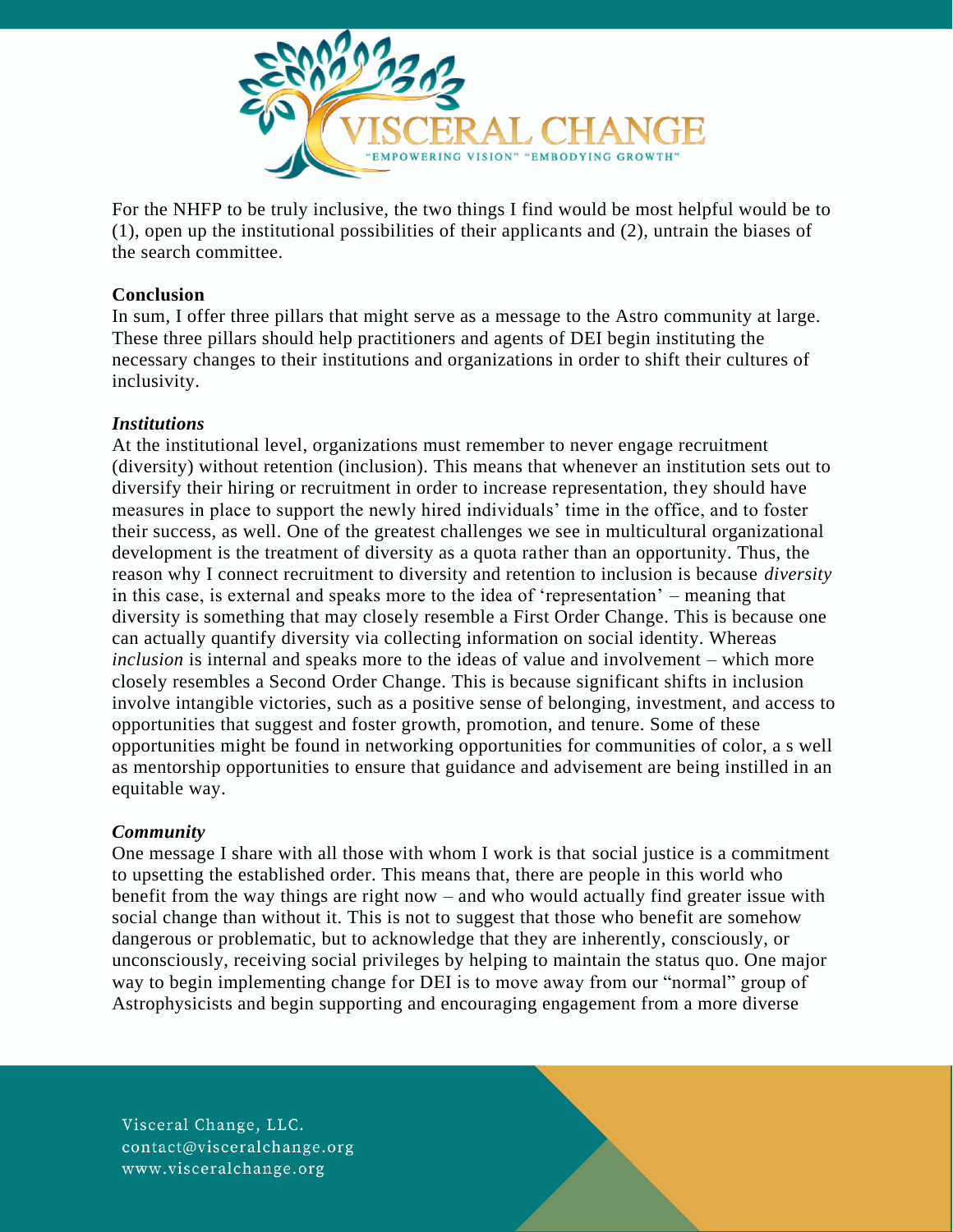

For the NHFP to be truly inclusive, the two things I find would be most helpful would be to (1), open up the institutional possibilities of their applicants and (2), untrain the biases of the search committee.

### **Conclusion**

In sum, I offer three pillars that might serve as a message to the Astro community at large. These three pillars should help practitioners and agents of DEI begin instituting the necessary changes to their institutions and organizations in order to shift their cultures of inclusivity.

### *Institutions*

At the institutional level, organizations must remember to never engage recruitment (diversity) without retention (inclusion). This means that whenever an institution sets out to diversify their hiring or recruitment in order to increase representation, they should have measures in place to support the newly hired individuals' time in the office, and to foster their success, as well. One of the greatest challenges we see in multicultural organizational development is the treatment of diversity as a quota rather than an opportunity. Thus, the reason why I connect recruitment to diversity and retention to inclusion is because *diversity*  in this case, is external and speaks more to the idea of 'representation' – meaning that diversity is something that may closely resemble a First Order Change. This is because one can actually quantify diversity via collecting information on social identity. Whereas *inclusion* is internal and speaks more to the ideas of value and involvement – which more closely resembles a Second Order Change. This is because significant shifts in inclusion involve intangible victories, such as a positive sense of belonging, investment, and access to opportunities that suggest and foster growth, promotion, and tenure. Some of these opportunities might be found in networking opportunities for communities of color, a s well as mentorship opportunities to ensure that guidance and advisement are being instilled in an equitable way.

### *Community*

One message I share with all those with whom I work is that social justice is a commitment to upsetting the established order. This means that, there are people in this world who benefit from the way things are right now – and who would actually find greater issue with social change than without it. This is not to suggest that those who benefit are somehow dangerous or problematic, but to acknowledge that they are inherently, consciously, or unconsciously, receiving social privileges by helping to maintain the status quo. One major way to begin implementing change for DEI is to move away from our "normal" group of Astrophysicists and begin supporting and encouraging engagement from a more diverse